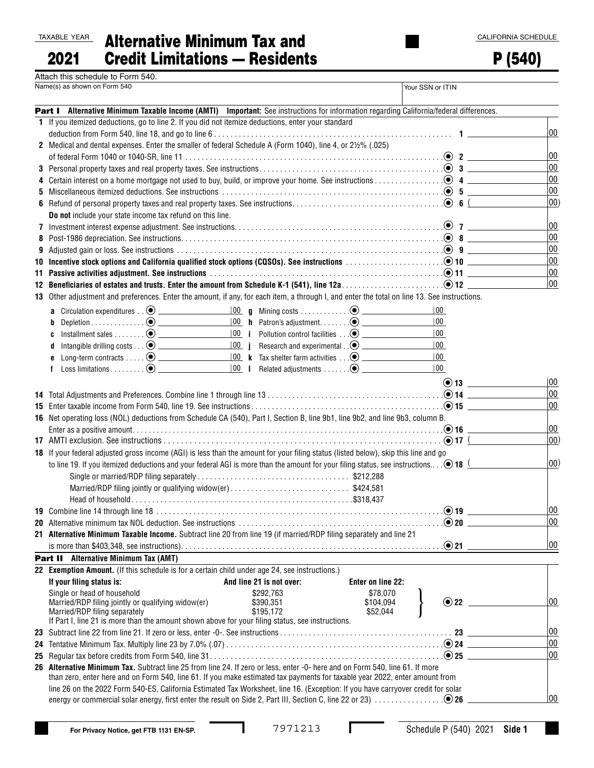| TAXABLE YEAR |  |
|--------------|--|
|              |  |

| \XABLE YEAR | <b>Alternative Minimum Tax and</b>    |
|-------------|---------------------------------------|
| 2021        | <b>Credit Limitations - Residents</b> |

P (540)

| Attach this schedule to Form 540. |  |
|-----------------------------------|--|
| Namo(c) ac chown on Form 540      |  |

|   | Name(s) as shown on Form 540                                                                                                                                                                                                  |                                                                              |                       | Your SSN or ITIN         |              |
|---|-------------------------------------------------------------------------------------------------------------------------------------------------------------------------------------------------------------------------------|------------------------------------------------------------------------------|-----------------------|--------------------------|--------------|
|   | Part I Alternative Minimum Taxable Income (AMTI) Important: See instructions for information regarding California/federal differences.                                                                                        |                                                                              |                       |                          |              |
|   | 1 If you itemized deductions, go to line 2. If you did not itemize deductions, enter your standard                                                                                                                            |                                                                              |                       |                          |              |
|   |                                                                                                                                                                                                                               |                                                                              |                       |                          | 00           |
|   | 2 Medical and dental expenses. Enter the smaller of federal Schedule A (Form 1040), line 4, or 2½% (.025)                                                                                                                     |                                                                              |                       |                          |              |
|   |                                                                                                                                                                                                                               |                                                                              |                       |                          | 00           |
|   |                                                                                                                                                                                                                               |                                                                              |                       |                          | 00           |
| 4 |                                                                                                                                                                                                                               |                                                                              |                       |                          | 00           |
|   | 5 Miscellaneous itemized deductions. See instructions $\ldots \ldots \ldots \ldots \ldots \ldots \ldots \ldots \ldots \ldots \ldots \ldots \ldots \cdot \bullet$ 5                                                            |                                                                              |                       |                          | 00           |
|   |                                                                                                                                                                                                                               |                                                                              |                       |                          | $ 00\rangle$ |
|   | Do not include your state income tax refund on this line.                                                                                                                                                                     |                                                                              |                       |                          |              |
|   |                                                                                                                                                                                                                               |                                                                              |                       |                          | 00           |
|   |                                                                                                                                                                                                                               |                                                                              |                       |                          | 00           |
| 9 |                                                                                                                                                                                                                               |                                                                              |                       |                          | 00           |
|   | 10 Incentive stock options and California qualified stock options (CQSOs). See instructions with the contractions of the control of the control of the control of the control of the control of the control of the control of |                                                                              |                       |                          | 00           |
|   | 11 Passive activities adjustment. See instructions with an experiment control of the control of the control of                                                                                                                |                                                                              |                       |                          | 00           |
|   |                                                                                                                                                                                                                               |                                                                              |                       |                          | 00           |
|   | 13 Other adjustment and preferences. Enter the amount, if any, for each item, a through I, and enter the total on line 13. See instructions.                                                                                  |                                                                              |                       |                          |              |
|   |                                                                                                                                                                                                                               |                                                                              |                       | 00                       |              |
|   | Depletion $\bullet$<br>b                                                                                                                                                                                                      |                                                                              |                       | 00                       |              |
|   |                                                                                                                                                                                                                               | 100 i Pollution control facilities 2                                         |                       | 100                      |              |
|   |                                                                                                                                                                                                                               | $\boxed{00}$ <b>j</b> Research and experimental $\boxed{0}$                  |                       | $ 00\rangle$             |              |
|   |                                                                                                                                                                                                                               |                                                                              |                       | 100                      |              |
|   |                                                                                                                                                                                                                               | $\frac{ 00 }{ 00 }$   Related adjustments $\ldots \ldots \odot$ ____________ |                       | $ 00\rangle$             |              |
|   |                                                                                                                                                                                                                               |                                                                              |                       |                          |              |
|   |                                                                                                                                                                                                                               |                                                                              |                       |                          | 00           |
|   |                                                                                                                                                                                                                               |                                                                              |                       |                          | 00           |
|   |                                                                                                                                                                                                                               |                                                                              |                       |                          | 00           |
|   | 16 Net operating loss (NOL) deductions from Schedule CA (540), Part I, Section B, line 9b1, line 9b2, and line 9b3, column B.                                                                                                 |                                                                              |                       |                          |              |
|   |                                                                                                                                                                                                                               |                                                                              |                       |                          | 00           |
|   |                                                                                                                                                                                                                               |                                                                              |                       |                          | $ 00\rangle$ |
|   | 18 If your federal adjusted gross income (AGI) is less than the amount for your filing status (listed below), skip this line and go                                                                                           |                                                                              |                       |                          |              |
|   | to line 19. If you itemized deductions and your federal AGI is more than the amount for your filing status, see instructions $\odot$ 18                                                                                       |                                                                              |                       |                          | $ 00\rangle$ |
|   |                                                                                                                                                                                                                               |                                                                              |                       |                          |              |
|   | Married/RDP filing jointly or qualifying widow(er)\$424,581                                                                                                                                                                   |                                                                              |                       |                          |              |
|   |                                                                                                                                                                                                                               |                                                                              |                       |                          |              |
|   |                                                                                                                                                                                                                               |                                                                              |                       | $\bullet$ 19             | 00           |
|   |                                                                                                                                                                                                                               |                                                                              |                       |                          | $ 00\rangle$ |
|   | 21 Alternative Minimum Taxable Income. Subtract line 20 from line 19 (if married/RDP filing separately and line 21                                                                                                            |                                                                              |                       |                          |              |
|   |                                                                                                                                                                                                                               |                                                                              |                       |                          | $ 00\rangle$ |
|   | Part II Alternative Minimum Tax (AMT)                                                                                                                                                                                         |                                                                              |                       |                          |              |
|   | 22 Exemption Amount. (If this schedule is for a certain child under age 24, see instructions.)                                                                                                                                |                                                                              |                       |                          |              |
|   | If your filing status is:                                                                                                                                                                                                     | And line 21 is not over:                                                     | Enter on line 22:     |                          |              |
|   | Single or head of household                                                                                                                                                                                                   | \$292,763                                                                    | \$78,070              | $\odot$ 22 $\phantom{0}$ | $ 00\rangle$ |
|   | Married/RDP filing jointly or qualifying widow(er)<br>Married/RDP filing separately                                                                                                                                           | \$390,351<br>\$195.172                                                       | \$104,094<br>\$52,044 |                          |              |
|   | If Part I, line 21 is more than the amount shown above for your filing status, see instructions.                                                                                                                              |                                                                              |                       |                          |              |
|   |                                                                                                                                                                                                                               |                                                                              |                       |                          | $ 00\rangle$ |
|   |                                                                                                                                                                                                                               |                                                                              |                       |                          | 00           |
|   |                                                                                                                                                                                                                               |                                                                              |                       |                          | $ _{00}$     |
|   | 26 Alternative Minimum Tax. Subtract line 25 from line 24. If zero or less, enter -0- here and on Form 540, line 61. If more                                                                                                  |                                                                              |                       |                          |              |
|   | than zero, enter here and on Form 540, line 61. If you make estimated tax payments for taxable year 2022, enter amount from                                                                                                   |                                                                              |                       |                          |              |
|   | line 26 on the 2022 Form 540-ES, California Estimated Tax Worksheet, line 16. (Exception: If you have carryover credit for solar                                                                                              |                                                                              |                       |                          |              |
|   |                                                                                                                                                                                                                               |                                                                              |                       |                          | $ 00\rangle$ |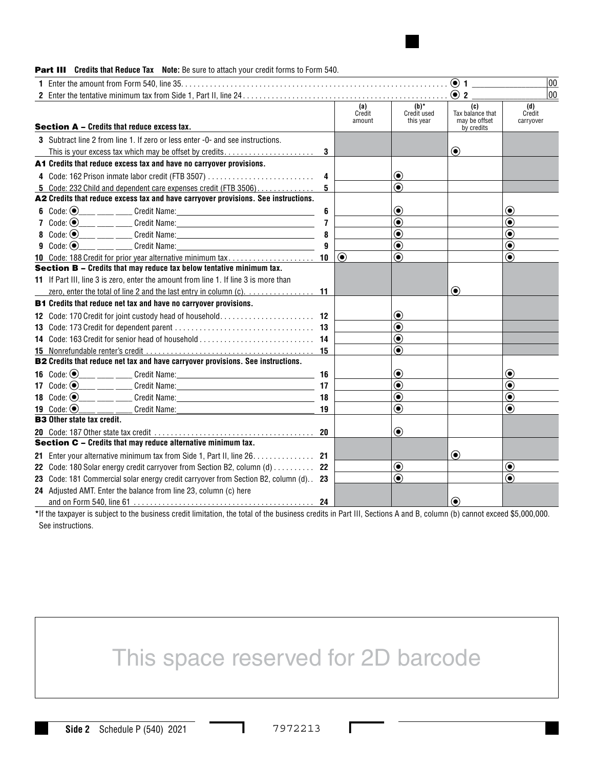

#### **Part III** Credits that Reduce Tax Note: Be sure to attach your credit forms to Form 540.

|                                                                                                                                          |                         |                         |                                     | $\odot$ 1                                              | 00                         |
|------------------------------------------------------------------------------------------------------------------------------------------|-------------------------|-------------------------|-------------------------------------|--------------------------------------------------------|----------------------------|
|                                                                                                                                          |                         |                         |                                     | $\odot$ 2                                              | 00                         |
| <b>Section A - Credits that reduce excess tax.</b>                                                                                       |                         | (a)<br>Credit<br>amount | $(b)^*$<br>Credit used<br>this year | (c)<br>Tax balance that<br>may be offset<br>by credits | (d)<br>Credit<br>carryover |
| 3 Subtract line 2 from line 1. If zero or less enter -0- and see instructions.<br>This is your excess tax which may be offset by credits |                         |                         |                                     | $\odot$                                                |                            |
| A1 Credits that reduce excess tax and have no carryover provisions.                                                                      |                         |                         |                                     |                                                        |                            |
| 4 Code: 162 Prison inmate labor credit (FTB 3507)                                                                                        | 4                       |                         | ◉                                   |                                                        |                            |
| 5 Code: 232 Child and dependent care expenses credit (FTB $3506$ )                                                                       | 5                       |                         | $\left( \bullet \right)$            |                                                        |                            |
| A2 Credits that reduce excess tax and have carryover provisions. See instructions.                                                       |                         |                         |                                     |                                                        |                            |
| 6 Code: $\odot$                                                                                                                          | 6                       |                         | $(\bullet)$                         |                                                        | $\bf{(\bullet)}$           |
| 7 Code: $\odot$                                                                                                                          | $\overline{\mathbf{r}}$ |                         | $\left( \bullet \right)$            |                                                        | $\bf{(\bullet)}$           |
| 8 $Code: (•)$                                                                                                                            | 8                       |                         | $\left( \bullet \right)$            |                                                        | ◉                          |
| <b>9</b> Code: $\odot$<br><b>Example 20 Credit Name:</b> Credit Name:                                                                    | 9                       |                         | $\textcolor{blue}{\bullet}$         |                                                        | $\circledbullet$           |
| 10 Code: 188 Credit for prior year alternative minimum tax                                                                               | 10                      | $\odot$                 | $\bf{(\bullet)}$                    |                                                        | $\bf{(\bullet)}$           |
| <b>Section B - Credits that may reduce tax below tentative minimum tax.</b>                                                              |                         |                         |                                     |                                                        |                            |
| 11 If Part III, line 3 is zero, enter the amount from line 1. If line 3 is more than                                                     |                         |                         |                                     |                                                        |                            |
| zero, enter the total of line 2 and the last entry in column (c). $\dots$                                                                | 11                      |                         |                                     | $\left( \bullet \right)$                               |                            |
| <b>B1</b> Credits that reduce net tax and have no carryover provisions.                                                                  |                         |                         |                                     |                                                        |                            |
| 12 Code: 170 Credit for joint custody head of household                                                                                  | 12                      |                         | ◉                                   |                                                        |                            |
|                                                                                                                                          | 13                      |                         | $\bf{(\bullet)}$                    |                                                        |                            |
| 14 Code: 163 Credit for senior head of household                                                                                         | 14                      |                         | $\circledbullet$                    |                                                        |                            |
|                                                                                                                                          | 15                      |                         | $\odot$                             |                                                        |                            |
| B2 Credits that reduce net tax and have carryover provisions. See instructions.                                                          |                         |                         |                                     |                                                        |                            |
| <b>16</b> Code: $\odot$                                                                                                                  | 16                      |                         | ◉                                   |                                                        | ◉                          |
|                                                                                                                                          | 17                      |                         | $\textcolor{blue}{\bullet}$         |                                                        | $\bf{(\bullet)}$           |
| 18 Code: $\odot$                                                                                                                         | 18                      |                         | $\circledbullet$                    |                                                        | $\bf{(\bullet)}$           |
| 19 Code: $\odot$                                                                                                                         | 19                      |                         | $\circledbullet$                    |                                                        | $\bf{(\bullet)}$           |
| <b>B3</b> Other state tax credit.                                                                                                        |                         |                         |                                     |                                                        |                            |
|                                                                                                                                          |                         |                         | $\textcolor{blue}{\bullet}$         |                                                        |                            |
| Section C - Credits that may reduce alternative minimum tax.                                                                             |                         |                         |                                     |                                                        |                            |
| 21 Enter your alternative minimum tax from Side 1, Part II, line 26.                                                                     | 21                      |                         |                                     | $\odot$                                                |                            |
| 22 Code: 180 Solar energy credit carryover from Section B2, column (d)                                                                   | 22                      |                         | $\textcolor{blue}{\bullet}$         |                                                        | $\bf{(\bullet)}$           |
| 23 Code: 181 Commercial solar energy credit carryover from Section B2, column (d)                                                        | 23                      |                         | $\odot$                             |                                                        | $\circledbullet$           |
| 24 Adjusted AMT. Enter the balance from line 23, column (c) here                                                                         |                         |                         |                                     |                                                        |                            |
|                                                                                                                                          | 24                      |                         |                                     | $\odot$                                                |                            |

**\***If the taxpayer is subject to the business credit limitation, the total of the business credits in Part III, Sections A and B, column (b) cannot exceed \$5,000,000. See instructions.

# This space reserved for 2D barcode

Г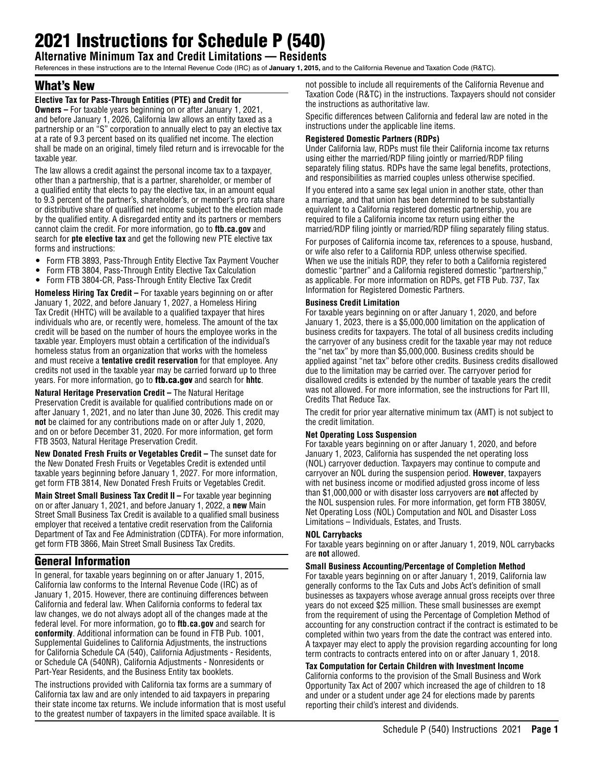# 2021 Instructions for Schedule P (540)

**Alternative Minimum Tax and Credit Limitations — Residents**

References in these instructions are to the Internal Revenue Code (IRC) as of **January 1, 2015,** and to the California Revenue and Taxation Code (R&TC).

## What's New

#### **Elective Tax for Pass-Through Entities (PTE) and Credit for**

**Owners –** For taxable years beginning on or after January 1, 2021, and before January 1, 2026, California law allows an entity taxed as a partnership or an "S" corporation to annually elect to pay an elective tax at a rate of 9.3 percent based on its qualified net income. The election shall be made on an original, timely filed return and is irrevocable for the taxable year.

The law allows a credit against the personal income tax to a taxpayer, other than a partnership, that is a partner, shareholder, or member of a qualified entity that elects to pay the elective tax, in an amount equal to 9.3 percent of the partner's, shareholder's, or member's pro rata share or distributive share of qualified net income subject to the election made by the qualified entity. A disregarded entity and its partners or members cannot claim the credit. For more information, go to **ftb.ca.gov** and search for **pte elective tax** and get the following new PTE elective tax forms and instructions:

- Form FTB 3893, Pass-Through Entity Elective Tax Payment Voucher
- Form FTB 3804, Pass-Through Entity Elective Tax Calculation
- Form FTB 3804-CR, Pass-Through Entity Elective Tax Credit

**Homeless Hiring Tax Credit –** For taxable years beginning on or after January 1, 2022, and before January 1, 2027, a Homeless Hiring Tax Credit (HHTC) will be available to a qualified taxpayer that hires individuals who are, or recently were, homeless. The amount of the tax credit will be based on the number of hours the employee works in the taxable year. Employers must obtain a certification of the individual's homeless status from an organization that works with the homeless and must receive a **tentative credit reservation** for that employee. Any credits not used in the taxable year may be carried forward up to three years. For more information, go to ftb.ca.gov and search for **hhtc**.

**Natural Heritage Preservation Credit –** The Natural Heritage Preservation Credit is available for qualified contributions made on or after January 1, 2021, and no later than June 30, 2026. This credit may **not** be claimed for any contributions made on or after July 1, 2020, and on or before December 31, 2020. For more information, get form FTB 3503, Natural Heritage Preservation Credit.

**New Donated Fresh Fruits or Vegetables Credit –** The sunset date for the New Donated Fresh Fruits or Vegetables Credit is extended until taxable years beginning before January 1, 2027. For more information, get form FTB 3814, New Donated Fresh Fruits or Vegetables Credit.

**Main Street Small Business Tax Credit II –** For taxable year beginning on or after January 1, 2021, and before January 1, 2022, a **new** Main Street Small Business Tax Credit is available to a qualified small business employer that received a tentative credit reservation from the California Department of Tax and Fee Administration (CDTFA). For more information, get form FTB 3866, Main Street Small Business Tax Credits.

# General Information

In general, for taxable years beginning on or after January 1, 2015, California law conforms to the Internal Revenue Code (IRC) as of January 1, 2015. However, there are continuing differences between California and federal law. When California conforms to federal tax law changes, we do not always adopt all of the changes made at the federal level. For more information, go to **ftb.ca.gov** and search for **conformity**. Additional information can be found in FTB Pub. 1001, Supplemental Guidelines to California Adjustments, the instructions for California Schedule CA (540), California Adjustments - Residents, or Schedule CA (540NR), California Adjustments - Nonresidents or Part-Year Residents, and the Business Entity tax booklets.

The instructions provided with California tax forms are a summary of California tax law and are only intended to aid taxpayers in preparing their state income tax returns. We include information that is most useful to the greatest number of taxpayers in the limited space available. It is

not possible to include all requirements of the California Revenue and Taxation Code (R&TC) in the instructions. Taxpayers should not consider the instructions as authoritative law.

Specific differences between California and federal law are noted in the instructions under the applicable line items.

#### **Registered Domestic Partners (RDPs)**

Under California law, RDPs must file their California income tax returns using either the married/RDP filing jointly or married/RDP filing separately filing status. RDPs have the same legal benefits, protections, and responsibilities as married couples unless otherwise specified.

If you entered into a same sex legal union in another state, other than a marriage, and that union has been determined to be substantially equivalent to a California registered domestic partnership, you are required to file a California income tax return using either the married/RDP filing jointly or married/RDP filing separately filing status.

For purposes of California income tax, references to a spouse, husband, or wife also refer to a California RDP, unless otherwise specified. When we use the initials RDP, they refer to both a California registered domestic "partner" and a California registered domestic "partnership," as applicable. For more information on RDPs, get FTB Pub. 737, Tax Information for Registered Domestic Partners.

#### **Business Credit Limitation**

For taxable years beginning on or after January 1, 2020, and before January 1, 2023, there is a \$5,000,000 limitation on the application of business credits for taxpayers. The total of all business credits including the carryover of any business credit for the taxable year may not reduce the "net tax" by more than \$5,000,000. Business credits should be applied against "net tax" before other credits. Business credits disallowed due to the limitation may be carried over. The carryover period for disallowed credits is extended by the number of taxable years the credit was not allowed. For more information, see the instructions for Part III, Credits That Reduce Tax.

The credit for prior year alternative minimum tax (AMT) is not subject to the credit limitation.

#### **Net Operating Loss Suspension**

For taxable years beginning on or after January 1, 2020, and before January 1, 2023, California has suspended the net operating loss (NOL) carryover deduction. Taxpayers may continue to compute and carryover an NOL during the suspension period. **However**, taxpayers with net business income or modified adjusted gross income of less than \$1,000,000 or with disaster loss carryovers are **not** affected by the NOL suspension rules. For more information, get form FTB 3805V, Net Operating Loss (NOL) Computation and NOL and Disaster Loss Limitations – Individuals, Estates, and Trusts.

#### **NOL Carrybacks**

For taxable years beginning on or after January 1, 2019, NOL carrybacks are **not** allowed.

#### **Small Business Accounting/Percentage of Completion Method**

For taxable years beginning on or after January 1, 2019, California law generally conforms to the Tax Cuts and Jobs Act's definition of small businesses as taxpayers whose average annual gross receipts over three years do not exceed \$25 million. These small businesses are exempt from the requirement of using the Percentage of Completion Method of accounting for any construction contract if the contract is estimated to be completed within two years from the date the contract was entered into. A taxpayer may elect to apply the provision regarding accounting for long term contracts to contracts entered into on or after January 1, 2018.

#### **Tax Computation for Certain Children with Investment Income**

California conforms to the provision of the Small Business and Work Opportunity Tax Act of 2007 which increased the age of children to 18 and under or a student under age 24 for elections made by parents reporting their child's interest and dividends.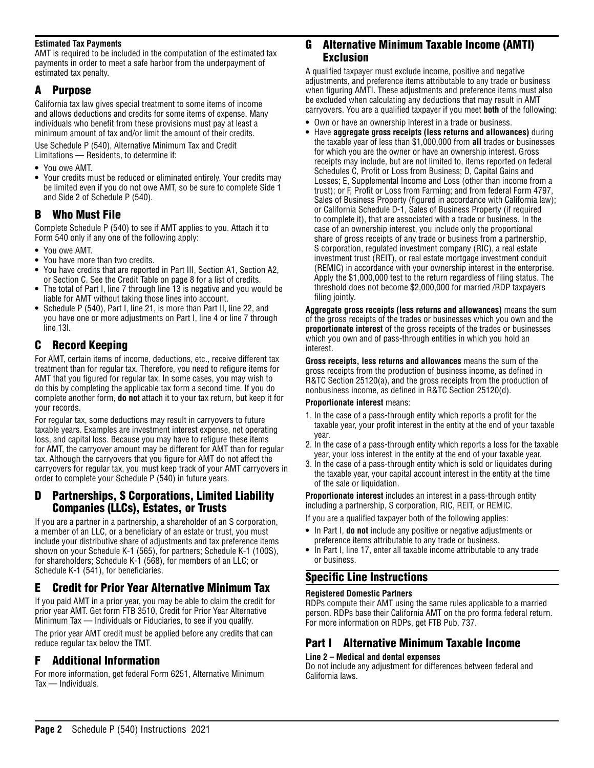#### **Estimated Tax Payments**

AMT is required to be included in the computation of the estimated tax payments in order to meet a safe harbor from the underpayment of estimated tax penalty.

### A Purpose

California tax law gives special treatment to some items of income and allows deductions and credits for some items of expense. Many individuals who benefit from these provisions must pay at least a minimum amount of tax and/or limit the amount of their credits.

Use Schedule P (540), Alternative Minimum Tax and Credit Limitations — Residents, to determine if:

- **•** You owe AMT.
- **•** Your credits must be reduced or eliminated entirely. Your credits may be limited even if you do not owe AMT, so be sure to complete Side 1 and Side 2 of Schedule P (540).

# B Who Must File

Complete Schedule P (540) to see if AMT applies to you. Attach it to Form 540 only if any one of the following apply:

- **•** You owe AMT.
- **•** You have more than two credits.
- **•** You have credits that are reported in Part III, Section A1, Section A2, or Section C. See the Credit Table on page 8 for a list of credits.
- **•** The total of Part I, line 7 through line 13 is negative and you would be liable for AMT without taking those lines into account.
- **•** Schedule P (540), Part I, line 21, is more than Part II, line 22, and you have one or more adjustments on Part I, line 4 or line 7 through line 13l.

# C Record Keeping

For AMT, certain items of income, deductions, etc., receive different tax treatment than for regular tax. Therefore, you need to refigure items for AMT that you figured for regular tax. In some cases, you may wish to do this by completing the applicable tax form a second time. If you do complete another form, **do not** attach it to your tax return, but keep it for your records.

For regular tax, some deductions may result in carryovers to future taxable years. Examples are investment interest expense, net operating loss, and capital loss. Because you may have to refigure these items for AMT, the carryover amount may be different for AMT than for regular tax. Although the carryovers that you figure for AMT do not affect the carryovers for regular tax, you must keep track of your AMT carryovers in order to complete your Schedule P (540) in future years.

## Partnerships, S Corporations, Limited Liability Companies (LLCs), Estates, or Trusts

If you are a partner in a partnership, a shareholder of an S corporation, a member of an LLC, or a beneficiary of an estate or trust, you must include your distributive share of adjustments and tax preference items shown on your Schedule K-1 (565), for partners; Schedule K-1 (100S), for shareholders; Schedule K-1 (568), for members of an LLC; or Schedule K-1 (541), for beneficiaries.

# E Credit for Prior Year Alternative Minimum Tax

If you paid AMT in a prior year, you may be able to claim the credit for prior year AMT. Get form FTB 3510, Credit for Prior Year Alternative Minimum Tax — Individuals or Fiduciaries, to see if you qualify.

The prior year AMT credit must be applied before any credits that can reduce regular tax below the TMT.

# F Additional Information

For more information, get federal Form 6251, Alternative Minimum Tax — Individuals.

## G Alternative Minimum Taxable Income (AMTI) Exclusion

A qualified taxpayer must exclude income, positive and negative adjustments, and preference items attributable to any trade or business when figuring AMTI. These adjustments and preference items must also be excluded when calculating any deductions that may result in AMT carryovers. You are a qualified taxpayer if you meet **both** of the following:

- **•** Own or have an ownership interest in a trade or business.
- **•** Have **aggregate gross receipts (less returns and allowances)** during the taxable year of less than \$1,000,000 from **all** trades or businesses for which you are the owner or have an ownership interest. Gross receipts may include, but are not limited to, items reported on federal Schedules C, Profit or Loss from Business; D, Capital Gains and Losses; E, Supplemental Income and Loss (other than income from a trust); or F, Profit or Loss from Farming; and from federal Form 4797, Sales of Business Property (figured in accordance with California law); or California Schedule D-1, Sales of Business Property (if required to complete it), that are associated with a trade or business. In the case of an ownership interest, you include only the proportional share of gross receipts of any trade or business from a partnership, S corporation, regulated investment company (RIC), a real estate investment trust (REIT), or real estate mortgage investment conduit (REMIC) in accordance with your ownership interest in the enterprise. Apply the \$1,000,000 test to the return regardless of filing status. The threshold does not become \$2,000,000 for married /RDP taxpayers filing jointly.

**Aggregate gross receipts (less returns and allowances)** means the sum of the gross receipts of the trades or businesses which you own and the **proportionate interest** of the gross receipts of the trades or businesses which you own and of pass-through entities in which you hold an interest.

**Gross receipts, less returns and allowances** means the sum of the gross receipts from the production of business income, as defined in R&TC Section 25120(a), and the gross receipts from the production of nonbusiness income, as defined in R&TC Section 25120(d).

#### **Proportionate interest** means:

- 1. In the case of a pass-through entity which reports a profit for the taxable year, your profit interest in the entity at the end of your taxable year.
- 2. In the case of a pass-through entity which reports a loss for the taxable year, your loss interest in the entity at the end of your taxable year.
- 3. In the case of a pass-through entity which is sold or liquidates during the taxable year, your capital account interest in the entity at the time of the sale or liquidation.

**Proportionate interest** includes an interest in a pass-through entity including a partnership, S corporation, RIC, REIT, or REMIC.

If you are a qualified taxpayer both of the following applies:

- **•** In Part I, **do not** include any positive or negative adjustments or preference items attributable to any trade or business.
- **•** In Part I, line 17, enter all taxable income attributable to any trade or business.

## Specific Line Instructions

#### **Registered Domestic Partners**

RDPs compute their AMT using the same rules applicable to a married person. RDPs base their California AMT on the pro forma federal return. For more information on RDPs, get FTB Pub. 737.

# Part I Alternative Minimum Taxable Income

#### **Line 2 – Medical and dental expenses**

Do not include any adjustment for differences between federal and California laws.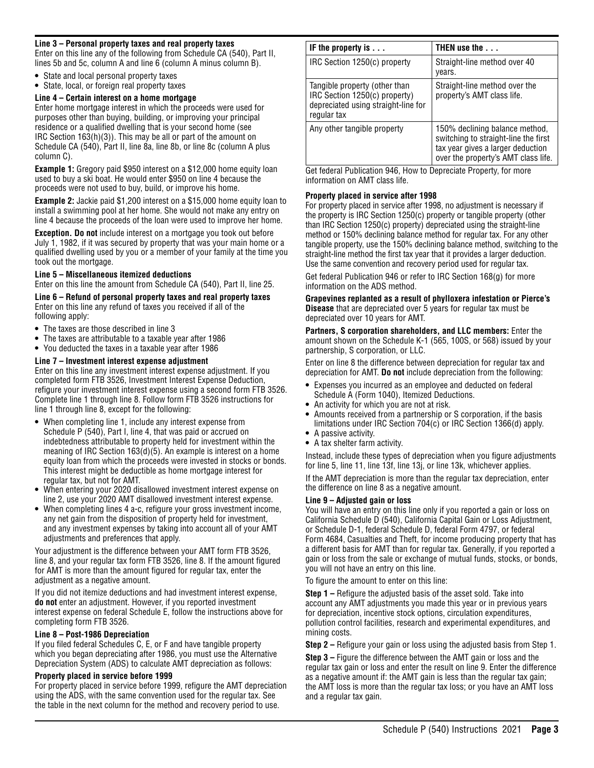#### **Line 3 – Personal property taxes and real property taxes**

Enter on this line any of the following from Schedule CA (540), Part II, lines 5b and 5c, column A and line 6 (column A minus column B).

- **•** State and local personal property taxes
- **•** State, local, or foreign real property taxes

#### **Line 4 – Certain interest on a home mortgage**

Enter home mortgage interest in which the proceeds were used for purposes other than buying, building, or improving your principal residence or a qualified dwelling that is your second home (see IRC Section 163(h)(3)). This may be all or part of the amount on Schedule CA (540), Part II, line 8a, line 8b, or line 8c (column A plus column C).

**Example 1:** Gregory paid \$950 interest on a \$12,000 home equity loan used to buy a ski boat. He would enter \$950 on line 4 because the proceeds were not used to buy, build, or improve his home.

**Example 2:** Jackie paid \$1,200 interest on a \$15,000 home equity loan to install a swimming pool at her home. She would not make any entry on line 4 because the proceeds of the loan were used to improve her home.

**Exception. Do not** include interest on a mortgage you took out before July 1, 1982, if it was secured by property that was your main home or a qualified dwelling used by you or a member of your family at the time you took out the mortgage.

#### **Line 5 – Miscellaneous itemized deductions**

Enter on this line the amount from Schedule CA (540), Part II, line 25.

**Line 6 – Refund of personal property taxes and real property taxes** Enter on this line any refund of taxes you received if all of the following apply:

- **•** The taxes are those described in line 3
- **•** The taxes are attributable to a taxable year after 1986
- **•** You deducted the taxes in a taxable year after 1986

#### **Line 7 – Investment interest expense adjustment**

Enter on this line any investment interest expense adjustment. If you completed form FTB 3526, Investment Interest Expense Deduction, refigure your investment interest expense using a second form FTB 3526. Complete line 1 through line 8. Follow form FTB 3526 instructions for line 1 through line 8, except for the following:

- **•** When completing line 1, include any interest expense from Schedule P (540), Part I, line 4, that was paid or accrued on indebtedness attributable to property held for investment within the meaning of IRC Section 163(d)(5). An example is interest on a home equity loan from which the proceeds were invested in stocks or bonds. This interest might be deductible as home mortgage interest for regular tax, but not for AMT.
- **•** When entering your 2020 disallowed investment interest expense on line 2, use your 2020 AMT disallowed investment interest expense.
- **•** When completing lines 4 a-c, refigure your gross investment income, any net gain from the disposition of property held for investment, and any investment expenses by taking into account all of your AMT adjustments and preferences that apply.

Your adjustment is the difference between your AMT form FTB 3526, line 8, and your regular tax form FTB 3526, line 8. If the amount figured for AMT is more than the amount figured for regular tax, enter the adjustment as a negative amount.

If you did not itemize deductions and had investment interest expense, **do not** enter an adjustment. However, if you reported investment interest expense on federal Schedule E, follow the instructions above for completing form FTB 3526.

#### **Line 8 – Post-1986 Depreciation**

If you filed federal Schedules C, E, or F and have tangible property which you began depreciating after 1986, you must use the Alternative Depreciation System (ADS) to calculate AMT depreciation as follows:

#### **Property placed in service before 1999**

For property placed in service before 1999, refigure the AMT depreciation using the ADS, with the same convention used for the regular tax. See the table in the next column for the method and recovery period to use.

| IF the property is $\dots$                                                                                           | THEN use the                                                                                                                                       |
|----------------------------------------------------------------------------------------------------------------------|----------------------------------------------------------------------------------------------------------------------------------------------------|
| IRC Section 1250(c) property                                                                                         | Straight-line method over 40<br>years.                                                                                                             |
| Tangible property (other than<br>IRC Section 1250(c) property)<br>depreciated using straight-line for<br>regular tax | Straight-line method over the<br>property's AMT class life.                                                                                        |
| Any other tangible property                                                                                          | 150% declining balance method,<br>switching to straight-line the first<br>tax year gives a larger deduction<br>over the property's AMT class life. |

Get federal Publication 946, How to Depreciate Property, for more information on AMT class life.

#### **Property placed in service after 1998**

For property placed in service after 1998, no adjustment is necessary if the property is IRC Section 1250(c) property or tangible property (other than IRC Section 1250(c) property) depreciated using the straight-line method or 150% declining balance method for regular tax. For any other tangible property, use the 150% declining balance method, switching to the straight-line method the first tax year that it provides a larger deduction. Use the same convention and recovery period used for regular tax.

Get federal Publication 946 or refer to IRC Section 168(g) for more information on the ADS method.

#### **Grapevines replanted as a result of phylloxera infestation or Pierce's Disease** that are depreciated over 5 years for regular tax must be depreciated over 10 years for AMT.

**Partners, S corporation shareholders, and LLC members:** Enter the amount shown on the Schedule K-1 (565, 100S, or 568) issued by your partnership, S corporation, or LLC.

Enter on line 8 the difference between depreciation for regular tax and depreciation for AMT. **Do not** include depreciation from the following:

- **•** Expenses you incurred as an employee and deducted on federal Schedule A (Form 1040), Itemized Deductions.
- **•** An activity for which you are not at risk.
- **•** Amounts received from a partnership or S corporation, if the basis limitations under IRC Section 704(c) or IRC Section 1366(d) apply.
- **•** A passive activity.
- **•** A tax shelter farm activity.

Instead, include these types of depreciation when you figure adjustments for line 5, line 11, line 13f, line 13j, or line 13k, whichever applies.

If the AMT depreciation is more than the regular tax depreciation, enter the difference on line 8 as a negative amount.

#### **Line 9 – Adjusted gain or loss**

You will have an entry on this line only if you reported a gain or loss on California Schedule D (540), California Capital Gain or Loss Adjustment, or Schedule D-1, federal Schedule D, federal Form 4797, or federal Form 4684, Casualties and Theft, for income producing property that has a different basis for AMT than for regular tax. Generally, if you reported a gain or loss from the sale or exchange of mutual funds, stocks, or bonds, you will not have an entry on this line.

To figure the amount to enter on this line:

**Step 1 –** Refigure the adjusted basis of the asset sold. Take into account any AMT adjustments you made this year or in previous years for depreciation, incentive stock options, circulation expenditures, pollution control facilities, research and experimental expenditures, and mining costs.

**Step 2 –** Refigure your gain or loss using the adjusted basis from Step 1.

**Step 3 –** Figure the difference between the AMT gain or loss and the regular tax gain or loss and enter the result on line 9. Enter the difference as a negative amount if: the AMT gain is less than the regular tax gain; the AMT loss is more than the regular tax loss; or you have an AMT loss and a regular tax gain.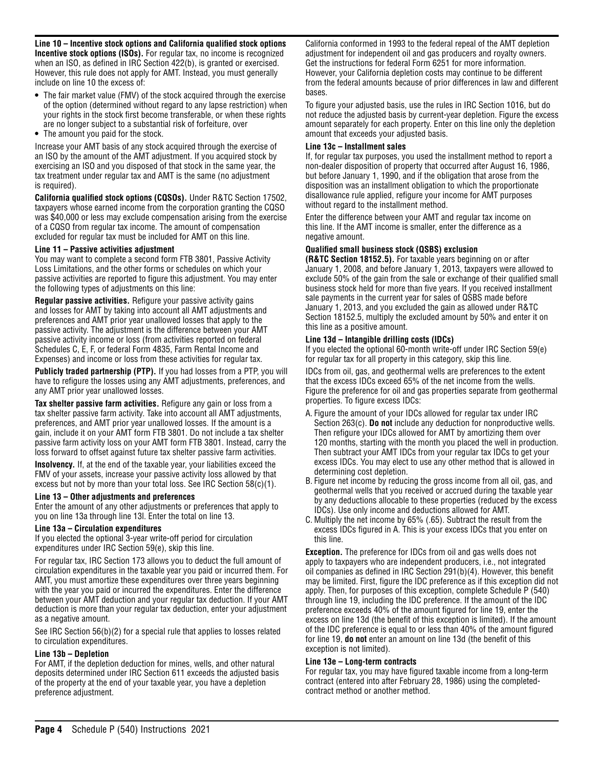**Line 10 – Incentive stock options and California qualified stock options Incentive stock options (ISOs).** For regular tax, no income is recognized when an ISO, as defined in IRC Section 422(b), is granted or exercised. However, this rule does not apply for AMT. Instead, you must generally include on line 10 the excess of:

- **•** The fair market value (FMV) of the stock acquired through the exercise of the option (determined without regard to any lapse restriction) when your rights in the stock first become transferable, or when these rights are no longer subject to a substantial risk of forfeiture, over
- **•** The amount you paid for the stock.

Increase your AMT basis of any stock acquired through the exercise of an ISO by the amount of the AMT adjustment. If you acquired stock by exercising an ISO and you disposed of that stock in the same year, the tax treatment under regular tax and AMT is the same (no adjustment is required).

**California qualified stock options (CQSOs).** Under R&TC Section 17502, taxpayers whose earned income from the corporation granting the CQSO was \$40,000 or less may exclude compensation arising from the exercise of a CQSO from regular tax income. The amount of compensation excluded for regular tax must be included for AMT on this line.

#### **Line 11 – Passive activities adjustment**

You may want to complete a second form FTB 3801, Passive Activity Loss Limitations, and the other forms or schedules on which your passive activities are reported to figure this adjustment. You may enter the following types of adjustments on this line:

**Regular passive activities.** Refigure your passive activity gains and losses for AMT by taking into account all AMT adjustments and preferences and AMT prior year unallowed losses that apply to the passive activity. The adjustment is the difference between your AMT passive activity income or loss (from activities reported on federal Schedules C, E, F, or federal Form 4835, Farm Rental Income and Expenses) and income or loss from these activities for regular tax.

**Publicly traded partnership (PTP).** If you had losses from a PTP, you will have to refigure the losses using any AMT adjustments, preferences, and any AMT prior year unallowed losses.

**Tax shelter passive farm activities.** Refigure any gain or loss from a tax shelter passive farm activity. Take into account all AMT adjustments, preferences, and AMT prior year unallowed losses. If the amount is a gain, include it on your AMT form FTB 3801. Do not include a tax shelter passive farm activity loss on your AMT form FTB 3801. Instead, carry the loss forward to offset against future tax shelter passive farm activities.

**Insolvency.** If, at the end of the taxable year, your liabilities exceed the FMV of your assets, increase your passive activity loss allowed by that excess but not by more than your total loss. See IRC Section 58(c)(1).

#### **Line 13 – Other adjustments and preferences**

Enter the amount of any other adjustments or preferences that apply to you on line 13a through line 13l. Enter the total on line 13.

#### **Line 13a – Circulation expenditures**

If you elected the optional 3-year write-off period for circulation expenditures under IRC Section 59(e), skip this line.

For regular tax, IRC Section 173 allows you to deduct the full amount of circulation expenditures in the taxable year you paid or incurred them. For AMT, you must amortize these expenditures over three years beginning with the year you paid or incurred the expenditures. Enter the difference between your AMT deduction and your regular tax deduction. If your AMT deduction is more than your regular tax deduction, enter your adjustment as a negative amount.

See IRC Section 56(b)(2) for a special rule that applies to losses related to circulation expenditures.

#### **Line 13b – Depletion**

For AMT, if the depletion deduction for mines, wells, and other natural deposits determined under IRC Section 611 exceeds the adjusted basis of the property at the end of your taxable year, you have a depletion preference adjustment.

California conformed in 1993 to the federal repeal of the AMT depletion adjustment for independent oil and gas producers and royalty owners. Get the instructions for federal Form 6251 for more information. However, your California depletion costs may continue to be different from the federal amounts because of prior differences in law and different bases.

To figure your adjusted basis, use the rules in IRC Section 1016, but do not reduce the adjusted basis by current-year depletion. Figure the excess amount separately for each property. Enter on this line only the depletion amount that exceeds your adjusted basis.

#### **Line 13c – Installment sales**

If, for regular tax purposes, you used the installment method to report a non-dealer disposition of property that occurred after August 16, 1986, but before January 1, 1990, and if the obligation that arose from the disposition was an installment obligation to which the proportionate disallowance rule applied, refigure your income for AMT purposes without regard to the installment method.

Enter the difference between your AMT and regular tax income on this line. If the AMT income is smaller, enter the difference as a negative amount.

#### **Qualified small business stock (QSBS) exclusion**

**(R&TC Section 18152.5).** For taxable years beginning on or after January 1, 2008, and before January 1, 2013, taxpayers were allowed to exclude 50% of the gain from the sale or exchange of their qualified small business stock held for more than five years. If you received installment sale payments in the current year for sales of QSBS made before January 1, 2013, and you excluded the gain as allowed under R&TC Section 18152.5, multiply the excluded amount by 50% and enter it on this line as a positive amount.

#### **Line 13d – Intangible drilling costs (IDCs)**

If you elected the optional 60-month write-off under IRC Section 59(e) for regular tax for all property in this category, skip this line.

IDCs from oil, gas, and geothermal wells are preferences to the extent that the excess IDCs exceed 65% of the net income from the wells. Figure the preference for oil and gas properties separate from geothermal properties. To figure excess IDCs:

- A. Figure the amount of your IDCs allowed for regular tax under IRC Section 263(c). **Do not** include any deduction for nonproductive wells. Then refigure your IDCs allowed for AMT by amortizing them over 120 months, starting with the month you placed the well in production. Then subtract your AMT IDCs from your regular tax IDCs to get your excess IDCs. You may elect to use any other method that is allowed in determining cost depletion.
- B. Figure net income by reducing the gross income from all oil, gas, and geothermal wells that you received or accrued during the taxable year by any deductions allocable to these properties (reduced by the excess IDCs). Use only income and deductions allowed for AMT.
- C. Multiply the net income by 65% (.65). Subtract the result from the excess IDCs figured in A. This is your excess IDCs that you enter on this line.

**Exception.** The preference for IDCs from oil and gas wells does not apply to taxpayers who are independent producers, i.e., not integrated oil companies as defined in IRC Section 291(b)(4). However, this benefit may be limited. First, figure the IDC preference as if this exception did not apply. Then, for purposes of this exception, complete Schedule P (540) through line 19, including the IDC preference. If the amount of the IDC preference exceeds 40% of the amount figured for line 19, enter the excess on line 13d (the benefit of this exception is limited). If the amount of the IDC preference is equal to or less than 40% of the amount figured for line 19, **do not** enter an amount on line 13d (the benefit of this exception is not limited).

#### **Line 13e – Long-term contracts**

For regular tax, you may have figured taxable income from a long-term contract (entered into after February 28, 1986) using the completedcontract method or another method.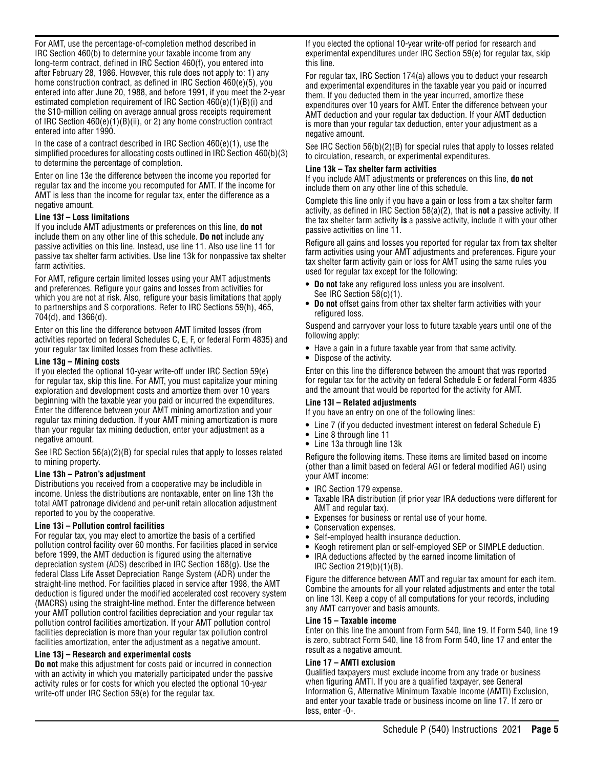For AMT, use the percentage-of-completion method described in IRC Section 460(b) to determine your taxable income from any long-term contract, defined in IRC Section 460(f), you entered into after February 28, 1986. However, this rule does not apply to: 1) any home construction contract, as defined in IRC Section 460(e)(5), you entered into after June 20, 1988, and before 1991, if you meet the 2-year estimated completion requirement of IRC Section 460(e)(1)(B)(i) and the \$10-million ceiling on average annual gross receipts requirement of IRC Section 460(e)(1)(B)(ii), or 2) any home construction contract entered into after 1990.

In the case of a contract described in IRC Section 460(e)(1), use the simplified procedures for allocating costs outlined in IRC Section 460(b)(3) to determine the percentage of completion.

Enter on line 13e the difference between the income you reported for regular tax and the income you recomputed for AMT. If the income for AMT is less than the income for regular tax, enter the difference as a negative amount.

#### **Line 13f – Loss limitations**

If you include AMT adjustments or preferences on this line, **do not**  include them on any other line of this schedule. **Do not** include any passive activities on this line. Instead, use line 11. Also use line 11 for passive tax shelter farm activities. Use line 13k for nonpassive tax shelter farm activities.

For AMT, refigure certain limited losses using your AMT adjustments and preferences. Refigure your gains and losses from activities for which you are not at risk. Also, refigure your basis limitations that apply to partnerships and S corporations. Refer to IRC Sections 59(h), 465, 704(d), and 1366(d).

Enter on this line the difference between AMT limited losses (from activities reported on federal Schedules C, E, F, or federal Form 4835) and your regular tax limited losses from these activities.

#### **Line 13g – Mining costs**

If you elected the optional 10-year write-off under IRC Section 59(e) for regular tax, skip this line. For AMT, you must capitalize your mining exploration and development costs and amortize them over 10 years beginning with the taxable year you paid or incurred the expenditures. Enter the difference between your AMT mining amortization and your regular tax mining deduction. If your AMT mining amortization is more than your regular tax mining deduction, enter your adjustment as a negative amount.

See IRC Section 56(a)(2)(B) for special rules that apply to losses related to mining property.

#### **Line 13h – Patron's adjustment**

Distributions you received from a cooperative may be includible in income. Unless the distributions are nontaxable, enter on line 13h the total AMT patronage dividend and per-unit retain allocation adjustment reported to you by the cooperative.

#### **Line 13i – Pollution control facilities**

For regular tax, you may elect to amortize the basis of a certified pollution control facility over 60 months. For facilities placed in service before 1999, the AMT deduction is figured using the alternative depreciation system (ADS) described in IRC Section 168(g). Use the federal Class Life Asset Depreciation Range System (ADR) under the straight-line method. For facilities placed in service after 1998, the AMT deduction is figured under the modified accelerated cost recovery system (MACRS) using the straight-line method. Enter the difference between your AMT pollution control facilities depreciation and your regular tax pollution control facilities amortization. If your AMT pollution control facilities depreciation is more than your regular tax pollution control facilities amortization, enter the adjustment as a negative amount.

#### **Line 13j – Research and experimental costs**

**Do not** make this adjustment for costs paid or incurred in connection with an activity in which you materially participated under the passive activity rules or for costs for which you elected the optional 10-year write-off under IRC Section 59(e) for the regular tax.

If you elected the optional 10-year write-off period for research and experimental expenditures under IRC Section 59(e) for regular tax, skip this line.

For regular tax, IRC Section 174(a) allows you to deduct your research and experimental expenditures in the taxable year you paid or incurred them. If you deducted them in the year incurred, amortize these expenditures over 10 years for AMT. Enter the difference between your AMT deduction and your regular tax deduction. If your AMT deduction is more than your regular tax deduction, enter your adjustment as a negative amount.

See IRC Section 56(b)(2)(B) for special rules that apply to losses related to circulation, research, or experimental expenditures.

#### **Line 13k – Tax shelter farm activities**

If you include AMT adjustments or preferences on this line, **do not**  include them on any other line of this schedule.

Complete this line only if you have a gain or loss from a tax shelter farm activity, as defined in IRC Section 58(a)(2), that is **not** a passive activity. If the tax shelter farm activity **is** a passive activity, include it with your other passive activities on line 11.

Refigure all gains and losses you reported for regular tax from tax shelter farm activities using your AMT adjustments and preferences. Figure your tax shelter farm activity gain or loss for AMT using the same rules you used for regular tax except for the following:

- **• Do not** take any refigured loss unless you are insolvent. See IRC Section 58(c)(1).
- **• Do not** offset gains from other tax shelter farm activities with your refigured loss.

Suspend and carryover your loss to future taxable years until one of the following apply:

- **•** Have a gain in a future taxable year from that same activity.
- **•** Dispose of the activity.

Enter on this line the difference between the amount that was reported for regular tax for the activity on federal Schedule E or federal Form 4835 and the amount that would be reported for the activity for AMT.

#### **Line 13l – Related adjustments**

- If you have an entry on one of the following lines:
- **•** Line 7 (if you deducted investment interest on federal Schedule E)
- **•** Line 8 through line 11
- **•** Line 13a through line 13k

Refigure the following items. These items are limited based on income (other than a limit based on federal AGI or federal modified AGI) using your AMT income:

- **•** IRC Section 179 expense.
- **•** Taxable IRA distribution (if prior year IRA deductions were different for AMT and regular tax).
- **•** Expenses for business or rental use of your home.
- **•** Conservation expenses.
- **•** Self-employed health insurance deduction.
- **•** Keogh retirement plan or self-employed SEP or SIMPLE deduction.
- **•** IRA deductions affected by the earned income limitation of IRC Section 219(b)(1)(B).

Figure the difference between AMT and regular tax amount for each item. Combine the amounts for all your related adjustments and enter the total on line 13l. Keep a copy of all computations for your records, including any AMT carryover and basis amounts.

#### **Line 15 – Taxable income**

Enter on this line the amount from Form 540, line 19. If Form 540, line 19 is zero, subtract Form 540, line 18 from Form 540, line 17 and enter the result as a negative amount.

#### **Line 17 – AMTI exclusion**

Qualified taxpayers must exclude income from any trade or business when figuring AMTI. If you are a qualified taxpayer, see General Information G, Alternative Minimum Taxable Income (AMTI) Exclusion, and enter your taxable trade or business income on line 17. If zero or less, enter -0-.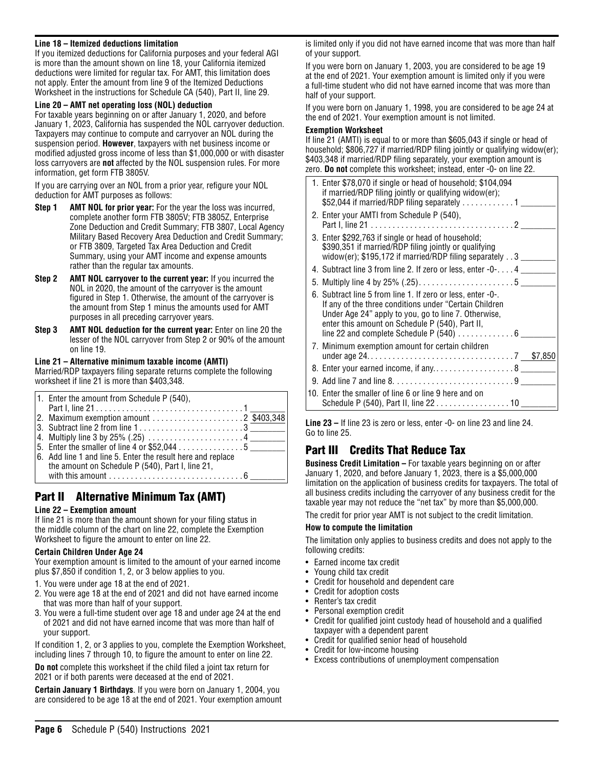#### **Line 18 – Itemized deductions limitation**

If you itemized deductions for California purposes and your federal AGI is more than the amount shown on line 18, your California itemized deductions were limited for regular tax. For AMT, this limitation does not apply. Enter the amount from line 9 of the Itemized Deductions Worksheet in the instructions for Schedule CA (540), Part II, line 29.

#### **Line 20 – AMT net operating loss (NOL) deduction**

For taxable years beginning on or after January 1, 2020, and before January 1, 2023, California has suspended the NOL carryover deduction. Taxpayers may continue to compute and carryover an NOL during the suspension period. **However**, taxpayers with net business income or modified adjusted gross income of less than \$1,000,000 or with disaster loss carryovers are **not** affected by the NOL suspension rules. For more information, get form FTB 3805V.

If you are carrying over an NOL from a prior year, refigure your NOL deduction for AMT purposes as follows:

- **Step 1 AMT NOL for prior year:** For the year the loss was incurred, complete another form FTB 3805V; FTB 3805Z, Enterprise Zone Deduction and Credit Summary; FTB 3807, Local Agency Military Based Recovery Area Deduction and Credit Summary; or FTB 3809, Targeted Tax Area Deduction and Credit Summary, using your AMT income and expense amounts rather than the regular tax amounts.
- **Step 2 AMT NOL carryover to the current year:** If you incurred the NOL in 2020, the amount of the carryover is the amount figured in Step 1. Otherwise, the amount of the carryover is the amount from Step 1 minus the amounts used for AMT purposes in all preceding carryover years.
- **Step 3 AMT NOL deduction for the current year:** Enter on line 20 the lesser of the NOL carryover from Step 2 or 90% of the amount on line 19.

#### **Line 21 – Alternative minimum taxable income (AMTI)**

Married/RDP taxpayers filing separate returns complete the following worksheet if line 21 is more than \$403,348.

| 1. Enter the amount from Schedule P $(540)$ ,                                |  |
|------------------------------------------------------------------------------|--|
|                                                                              |  |
| 2. Maximum exemption amount $\ldots \ldots \ldots \ldots \ldots$ 2 \$403,348 |  |
| 3. Subtract line 2 from line 13                                              |  |
|                                                                              |  |
|                                                                              |  |
| 6. Add line 1 and line 5. Enter the result here and replace                  |  |
| the amount on Schedule P (540), Part I, line 21,                             |  |
| with this amount $\dots\dots\dots\dots\dots\dots\dots\dots\dots\dots6$       |  |

## Part II Alternative Minimum Tax (AMT)

#### **Line 22 – Exemption amount**

If line 21 is more than the amount shown for your filing status in the middle column of the chart on line 22, complete the Exemption Worksheet to figure the amount to enter on line 22.

#### **Certain Children Under Age 24**

Your exemption amount is limited to the amount of your earned income plus \$7,850 if condition 1, 2, or 3 below applies to you.

- 1. You were under age 18 at the end of 2021.
- 2. You were age 18 at the end of 2021 and did not have earned income that was more than half of your support.
- 3. You were a full-time student over age 18 and under age 24 at the end of 2021 and did not have earned income that was more than half of your support.

If condition 1, 2, or 3 applies to you, complete the Exemption Worksheet, including lines 7 through 10, to figure the amount to enter on line 22.

**Do not** complete this worksheet if the child filed a joint tax return for 2021 or if both parents were deceased at the end of 2021.

**Certain January 1 Birthdays**. If you were born on January 1, 2004, you are considered to be age 18 at the end of 2021. Your exemption amount is limited only if you did not have earned income that was more than half of your support.

If you were born on January 1, 2003, you are considered to be age 19 at the end of 2021. Your exemption amount is limited only if you were a full-time student who did not have earned income that was more than half of your support.

If you were born on January 1, 1998, you are considered to be age 24 at the end of 2021. Your exemption amount is not limited.

#### **Exemption Worksheet**

If line 21 (AMTI) is equal to or more than \$605,043 if single or head of household; \$806,727 if married/RDP filing jointly or qualifying widow(er); \$403,348 if married/RDP filing separately, your exemption amount is zero. **Do not** complete this worksheet; instead, enter -0- on line 22.

**Line 23 –** If line 23 is zero or less, enter -0- on line 23 and line 24. Go to line 25.

# Part III Credits That Reduce Tax

**Business Credit Limitation –** For taxable years beginning on or after January 1, 2020, and before January 1, 2023, there is a \$5,000,000 limitation on the application of business credits for taxpayers. The total of all business credits including the carryover of any business credit for the taxable year may not reduce the "net tax" by more than \$5,000,000.

The credit for prior year AMT is not subject to the credit limitation.

#### **How to compute the limitation**

The limitation only applies to business credits and does not apply to the following credits:

- Earned income tax credit
- Young child tax credit
- Credit for household and dependent care
- Credit for adoption costs
- Renter's tax credit
- Personal exemption credit
- Credit for qualified joint custody head of household and a qualified taxpayer with a dependent parent
- Credit for qualified senior head of household
- Credit for low-income housing
- Excess contributions of unemployment compensation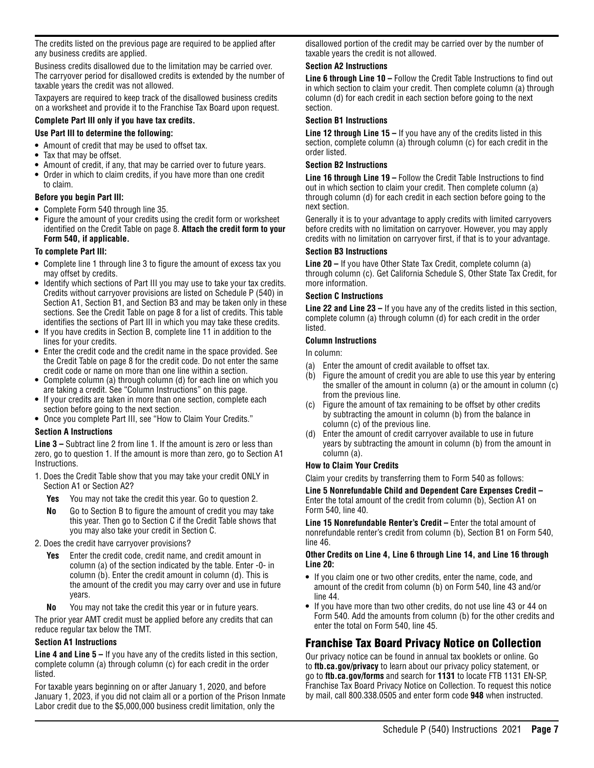The credits listed on the previous page are required to be applied after any business credits are applied.

Business credits disallowed due to the limitation may be carried over. The carryover period for disallowed credits is extended by the number of taxable years the credit was not allowed.

Taxpayers are required to keep track of the disallowed business credits on a worksheet and provide it to the Franchise Tax Board upon request.

#### **Complete Part III only if you have tax credits.**

#### **Use Part III to determine the following:**

- **•** Amount of credit that may be used to offset tax.
- **•** Tax that may be offset.
- **•** Amount of credit, if any, that may be carried over to future years.
- **•** Order in which to claim credits, if you have more than one credit to claim.

#### **Before you begin Part III:**

- **•** Complete Form 540 through line 35.
- **•** Figure the amount of your credits using the credit form or worksheet identified on the Credit Table on page 8. **Attach the credit form to your Form 540, if applicable.**

#### **To complete Part III:**

- **•** Complete line 1 through line 3 to figure the amount of excess tax you may offset by credits.
- **•** Identify which sections of Part III you may use to take your tax credits. Credits without carryover provisions are listed on Schedule P (540) in Section A1, Section B1, and Section B3 and may be taken only in these sections. See the Credit Table on page 8 for a list of credits. This table identifies the sections of Part III in which you may take these credits.
- **•** If you have credits in Section B, complete line 11 in addition to the lines for your credits.
- **•** Enter the credit code and the credit name in the space provided. See the Credit Table on page 8 for the credit code. Do not enter the same credit code or name on more than one line within a section.
- **•** Complete column (a) through column (d) for each line on which you are taking a credit. See "Column Instructions" on this page.
- **•** If your credits are taken in more than one section, complete each section before going to the next section.
- **•** Once you complete Part III, see "How to Claim Your Credits."

#### **Section A Instructions**

**Line 3 –** Subtract line 2 from line 1. If the amount is zero or less than zero, go to question 1. If the amount is more than zero, go to Section A1 Instructions.

- 1. Does the Credit Table show that you may take your credit ONLY in Section A1 or Section A2?
	- **Yes** You may not take the credit this year. Go to question 2.
	- **No** Go to Section B to figure the amount of credit you may take this year. Then go to Section C if the Credit Table shows that you may also take your credit in Section C.
- 2. Does the credit have carryover provisions?
	- **Yes** Enter the credit code, credit name, and credit amount in column (a) of the section indicated by the table. Enter -0- in column (b). Enter the credit amount in column (d). This is the amount of the credit you may carry over and use in future years.
	- **No** You may not take the credit this year or in future years.

The prior year AMT credit must be applied before any credits that can reduce regular tax below the TMT.

#### **Section A1 Instructions**

**Line 4 and Line 5 –** If you have any of the credits listed in this section, complete column (a) through column (c) for each credit in the order listed.

For taxable years beginning on or after January 1, 2020, and before January 1, 2023, if you did not claim all or a portion of the Prison Inmate Labor credit due to the \$5,000,000 business credit limitation, only the

disallowed portion of the credit may be carried over by the number of taxable years the credit is not allowed.

#### **Section A2 Instructions**

**Line 6 through Line 10 –** Follow the Credit Table Instructions to find out in which section to claim your credit. Then complete column (a) through column (d) for each credit in each section before going to the next section.

#### **Section B1 Instructions**

**Line 12 through Line 15 –** If you have any of the credits listed in this section, complete column (a) through column (c) for each credit in the order listed.

#### **Section B2 Instructions**

**Line 16 through Line 19 –** Follow the Credit Table Instructions to find out in which section to claim your credit. Then complete column (a) through column (d) for each credit in each section before going to the next section.

Generally it is to your advantage to apply credits with limited carryovers before credits with no limitation on carryover. However, you may apply credits with no limitation on carryover first, if that is to your advantage.

#### **Section B3 Instructions**

**Line 20 –** If you have Other State Tax Credit, complete column (a) through column (c). Get California Schedule S, Other State Tax Credit, for more information.

#### **Section C Instructions**

**Line 22 and Line 23 –** If you have any of the credits listed in this section, complete column (a) through column (d) for each credit in the order listed.

#### **Column Instructions**

In column:

- (a) Enter the amount of credit available to offset tax.
- (b) Figure the amount of credit you are able to use this year by entering the smaller of the amount in column (a) or the amount in column (c) from the previous line.
- Figure the amount of tax remaining to be offset by other credits by subtracting the amount in column (b) from the balance in column (c) of the previous line.
- (d) Enter the amount of credit carryover available to use in future years by subtracting the amount in column (b) from the amount in column (a).

#### **How to Claim Your Credits**

Claim your credits by transferring them to Form 540 as follows:

**Line 5 Nonrefundable Child and Dependent Care Expenses Credit –** Enter the total amount of the credit from column (b), Section A1 on Form 540, line 40.

**Line 15 Nonrefundable Renter's Credit –** Enter the total amount of nonrefundable renter's credit from column (b), Section B1 on Form 540, line 46.

#### **Other Credits on Line 4, Line 6 through Line 14, and Line 16 through Line 20:**

- **•** If you claim one or two other credits, enter the name, code, and amount of the credit from column (b) on Form 540, line 43 and/or line 44.
- **•** If you have more than two other credits, do not use line 43 or 44 on Form 540. Add the amounts from column (b) for the other credits and enter the total on Form 540, line 45.

# Franchise Tax Board Privacy Notice on Collection

Our privacy notice can be found in annual tax booklets or online. Go to **ftb.ca.gov/privacy** to learn about our privacy policy statement, or go to **ftb.ca.gov/forms** and search for **1131** to locate FTB 1131 EN-SP, Franchise Tax Board Privacy Notice on Collection. To request this notice by mail, call 800.338.0505 and enter form code **948** when instructed.